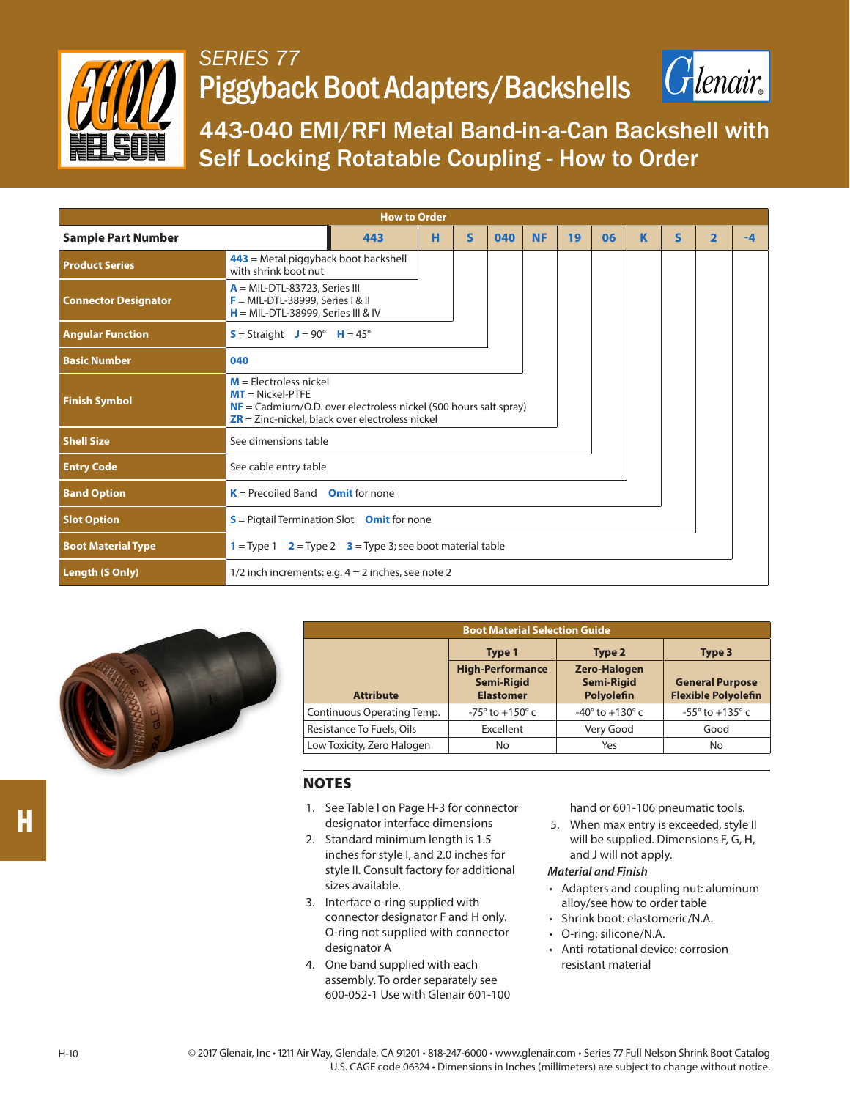

## *SERIES 77* Piggyback Boot Adapters/Backshells



443-040 EMI/RFI Metal Band-in-a-Can Backshell with Self Locking Rotatable Coupling - How to Order

| <b>How to Order</b>         |                                                                                                                                                                                            |     |   |              |     |           |    |    |   |              |                         |      |
|-----------------------------|--------------------------------------------------------------------------------------------------------------------------------------------------------------------------------------------|-----|---|--------------|-----|-----------|----|----|---|--------------|-------------------------|------|
| <b>Sample Part Number</b>   |                                                                                                                                                                                            | 443 | н | $\mathsf{s}$ | 040 | <b>NF</b> | 19 | 06 | K | $\mathsf{s}$ | $\overline{\mathbf{2}}$ | $-4$ |
| <b>Product Series</b>       | $443$ = Metal piggyback boot backshell<br>with shrink boot nut                                                                                                                             |     |   |              |     |           |    |    |   |              |                         |      |
| <b>Connector Designator</b> | $A = MIL-DTL-83723$ , Series III<br>$F = MIL-DTL-38999$ , Series I & II<br>$H = MIL-DTL-38999$ , Series III & IV                                                                           |     |   |              |     |           |    |    |   |              |                         |      |
| <b>Angular Function</b>     | $S =$ Straight $J = 90^\circ$ H = 45°                                                                                                                                                      |     |   |              |     |           |    |    |   |              |                         |      |
| <b>Basic Number</b>         | 040                                                                                                                                                                                        |     |   |              |     |           |    |    |   |              |                         |      |
| <b>Finish Symbol</b>        | $M =$ Electroless nickel<br>$MT = Nickel-PTFE$<br>$NF = \text{Cadmium/O.D. over electrodes nickel}$ (500 hours salt spray)<br>$\overline{ZR}$ = Zinc-nickel, black over electroless nickel |     |   |              |     |           |    |    |   |              |                         |      |
| <b>Shell Size</b>           | See dimensions table                                                                                                                                                                       |     |   |              |     |           |    |    |   |              |                         |      |
| <b>Entry Code</b>           | See cable entry table                                                                                                                                                                      |     |   |              |     |           |    |    |   |              |                         |      |
| <b>Band Option</b>          | $K =$ Precoiled Band Omit for none                                                                                                                                                         |     |   |              |     |           |    |    |   |              |                         |      |
| <b>Slot Option</b>          | $S =$ Pigtail Termination Slot Omit for none                                                                                                                                               |     |   |              |     |           |    |    |   |              |                         |      |
| <b>Boot Material Type</b>   | $1 =$ Type 1 $2 =$ Type 2 $3 =$ Type 3; see boot material table                                                                                                                            |     |   |              |     |           |    |    |   |              |                         |      |
| Length (S Only)             | 1/2 inch increments: e.g. $4 = 2$ inches, see note 2                                                                                                                                       |     |   |              |     |           |    |    |   |              |                         |      |



| <b>Boot Material Selection Guide</b> |                                                                  |                                                        |                                                      |  |  |  |
|--------------------------------------|------------------------------------------------------------------|--------------------------------------------------------|------------------------------------------------------|--|--|--|
|                                      | Type 1                                                           | Type 2                                                 | Type 3                                               |  |  |  |
| <b>Attribute</b>                     | <b>High-Performance</b><br><b>Semi-Rigid</b><br><b>Elastomer</b> | <b>Zero-Halogen</b><br><b>Semi-Rigid</b><br>Polyolefin | <b>General Purpose</b><br><b>Flexible Polyolefin</b> |  |  |  |
| Continuous Operating Temp.           | $-75^{\circ}$ to $+150^{\circ}$ c                                | $-40^{\circ}$ to $+130^{\circ}$ c                      | $-55^{\circ}$ to $+135^{\circ}$ c                    |  |  |  |
| Resistance To Fuels, Oils            | Excellent                                                        | Very Good                                              | Good                                                 |  |  |  |
| Low Toxicity, Zero Halogen           | No                                                               | Yes                                                    | No                                                   |  |  |  |

## NOTES

- 1. See Table I on Page H-3 for connector designator interface dimensions
- 2. Standard minimum length is 1.5 inches for style I, and 2.0 inches for style II. Consult factory for additional sizes available.
- 3. Interface o-ring supplied with connector designator F and H only. O-ring not supplied with connector designator A
- 4. One band supplied with each assembly. To order separately see 600-052-1 Use with Glenair 601-100

hand or 601-106 pneumatic tools.

- 5. When max entry is exceeded, style II will be supplied. Dimensions F, G, H, and J will not apply.
- *Material and Finish*
- Adapters and coupling nut: aluminum alloy/see how to order table
- Shrink boot: elastomeric/N.A.
- O-ring: silicone/N.A.
- Anti-rotational device: corrosion resistant material